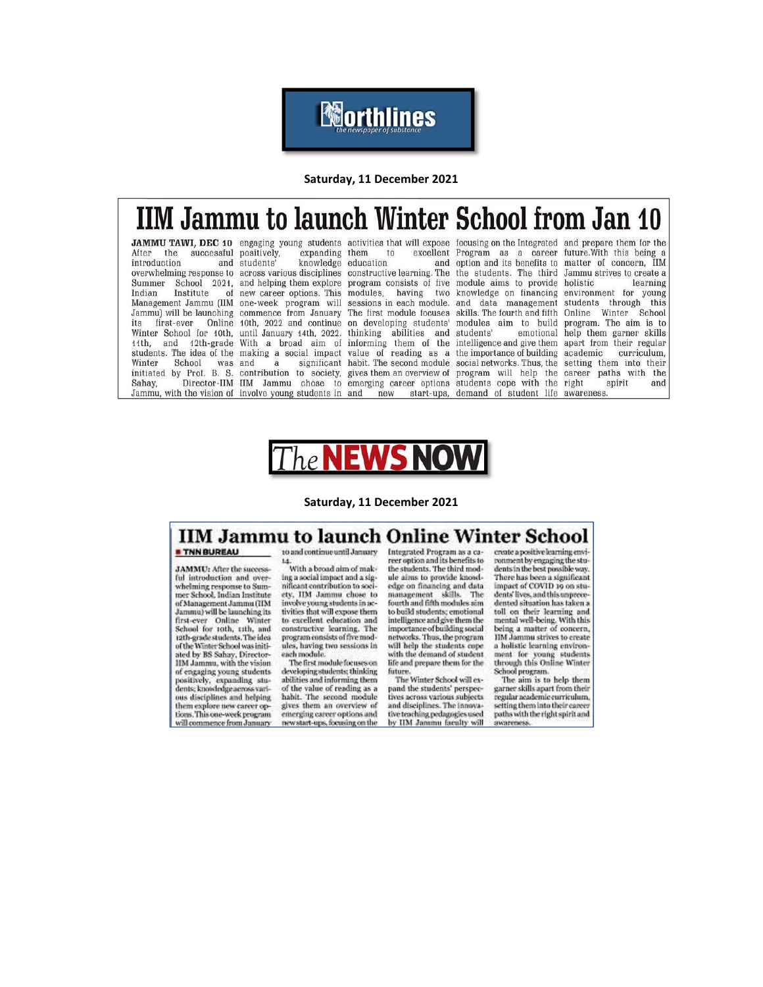*<u><b>Morthlines</u>* 

Saturday, 11 December 2021

# **IIM Jammu to launch Winter School from Jan 10**

After the successful positively, introduction Indian Institute Winter School was and Sahay,

expanding them and students'  $\mathbf{a}$ 

14

JAMMU TAWI, DEC 10 engaging young students activities that will expose focusing on the Integrated and prepare them for the to knowledge education Jammu) will be launching commence from January The first module focuses Winter School for 10th, until January 14th, 2022. thinking abilities and students'

excellent Program as a career future. With this being a and option and its benefits to matter of concern, IIM overwhelming response to across various disciplines constructive learning. The the students. The third Jammu strives to create a Summer School 2021, and helping them explore program consists of five module aims to provide holistic of new career options. This modules, having two knowledge on financing environment for young Management Jammu (IIM one-week program will sessions in each module. and data management students through its first-ever Online 10th, 2022 and continue on developing students' modules aim to build program. The aim is to 11th, and 12th-grade With a broad aim of informing them of the intelligence and give them apart from their regular students. The idea of the making a social impact value of reading as a the importance of building academic significant habit. The second module social networks. Thus, the setting them into their initiated by Prof. B. S. contribution to society, gives them an overview of program will help the career paths with the Director-IIM IIM Jammu chose to emerging career options students cope with the right Jammu, with the vision of involve young students in and new start-ups, demand of student life awareness.

learning this skills. The fourth and fifth Online Winter School emotional help them garner skills curriculum, spirit and



#### Saturday. 11 December 2021

#### **IIM Jammu to launch Online Winter School** to and continue until January

**\* TNN BUREAU** 

**JAMMU**: After the success ful introduction and overwhelming response to Summer School, Indian Institute of Management Jammu GIM Jammu) will be launching its first-ever Online Winter<br>School for 10th, 11th, and 12th-grade students. The idea of the Winter School was initiated by BS Sahay, Director-HM Jammu, with the vision of engaging young students positively, expanding students knowledge<br>across various disciplines and helping them explore new career op-<br>tions. This one-week program will commence from January

With a broad aim of making a social impact and a significant contribution to society, IIM Jammu chose to involve young students in activities that will expose them to excellent education and<br>constructive learning. The program consists of five modules, having two sessions in each module.

The first module focuses on developing students; thinking abilities and informing them<br>of the value of reading as a habit. The second module gives them an overview of<br>emerging career options and new start-ups, focusing on the

Integrated Program as a career option and its benefits to<br>the students. The third module aims to provide knowledge on financing and data management skills. The<br>fourth and fifth modules sim to build students; emotional intelligence and give them the<br>importance of building social networks. Thus, the program will help the students cope with the demand of student life and prepare them for the future.<br>The Winter School will ex-

pand the students' perspectives across various subjects and disciplines. The innova-<br>tive teaching pedagogies used by IIM Janumu facalty will

create a positive learning enviromment by engaging the students in the best possible way. There has been a significant impact of COVID 19 on students' lives, and this unprecedented situation has taken a toll on their learning and<br>mental well-being. With this<br>being a matter of concern, HM Jammu strives to create a holistic learning environ-<br>ment for young students<br>through this Online Winter School program.

The aim is to help them garner skills apart from their regular neademic curriculum. setting them into their career<br>paths with the right spirit and **INSTERNESS**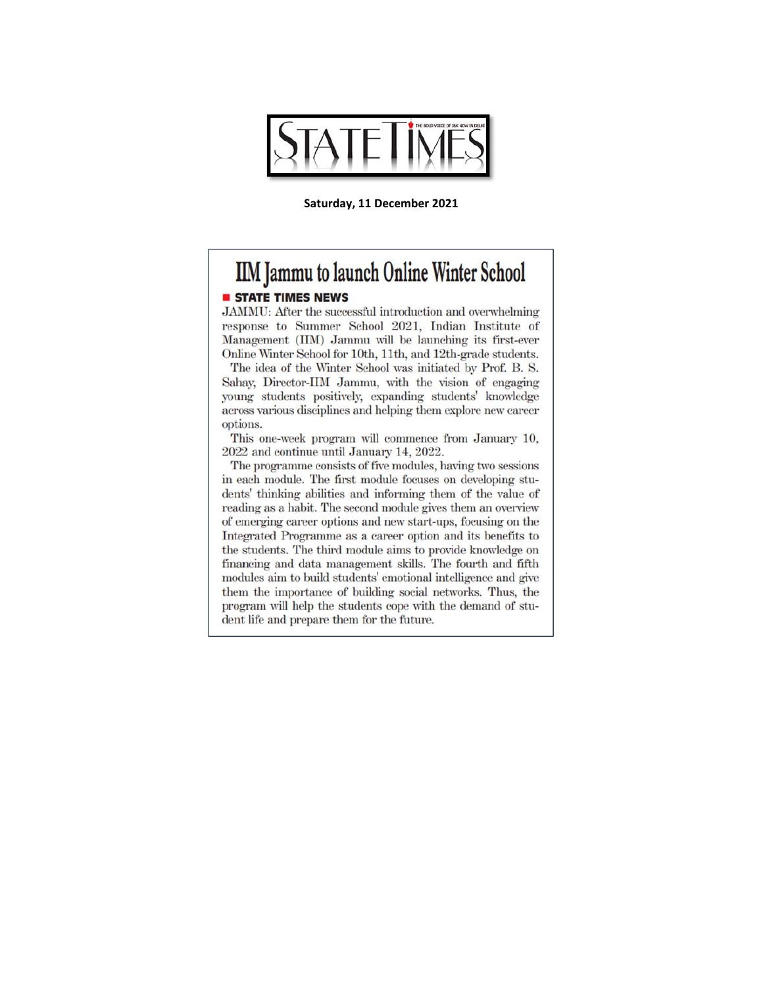

Saturday, 11 December 2021

# **IIM Jammu to launch Online Winter School**

# **STATE TIMES NEWS**

JAMMU: After the successful introduction and overwhelming response to Summer School 2021, Indian Institute of Management (IIM) Jammu will be launching its first-ever Online Winter School for 10th, 11th, and 12th-grade students.

The idea of the Winter School was initiated by Prof. B. S. Sahay, Director-IIM Jammu, with the vision of engaging young students positively, expanding students' knowledge across various disciplines and helping them explore new career options.

This one-week program will commence from January 10, 2022 and continue until January 14, 2022.

The programme consists of five modules, having two sessions in each module. The first module focuses on developing students' thinking abilities and informing them of the value of reading as a habit. The second module gives them an overview of emerging career options and new start-ups, focusing on the Integrated Programme as a career option and its benefits to the students. The third module aims to provide knowledge on financing and data management skills. The fourth and fifth modules aim to build students' emotional intelligence and give them the importance of building social networks. Thus, the program will help the students cope with the demand of student life and prepare them for the future.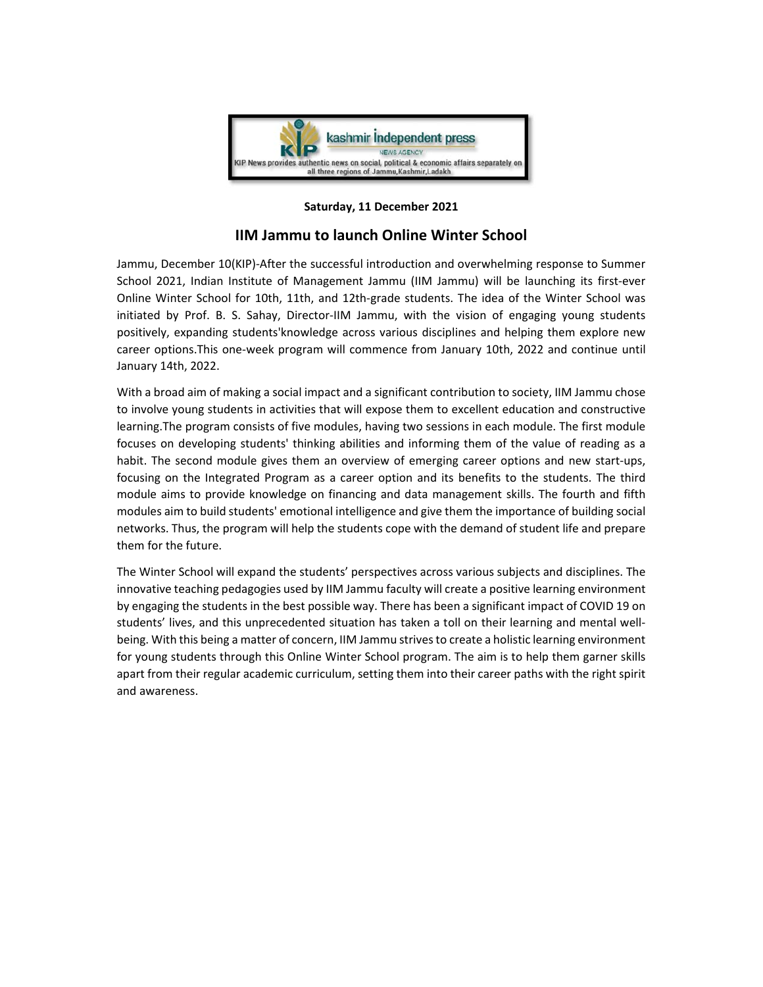

### **Saturday, 11 December 2021**

# **IIM Jammu to launch Online Winter School**

Jammu, December 10(KIP)‐After the successful introduction and overwhelming response to Summer School 2021, Indian Institute of Management Jammu (IIM Jammu) will be launching its first-ever Online Winter School for 10th, 11th, and 12th‐grade students. The idea of the Winter School was initiated by Prof. B. S. Sahay, Director‐IIM Jammu, with the vision of engaging young students positively, expanding students'knowledge across various disciplines and helping them explore new career options.This one‐week program will commence from January 10th, 2022 and continue until January 14th, 2022.

With a broad aim of making a social impact and a significant contribution to society, IIM Jammu chose to involve young students in activities that will expose them to excellent education and constructive learning.The program consists of five modules, having two sessions in each module. The first module focuses on developing students' thinking abilities and informing them of the value of reading as a habit. The second module gives them an overview of emerging career options and new start-ups, focusing on the Integrated Program as a career option and its benefits to the students. The third module aims to provide knowledge on financing and data management skills. The fourth and fifth modules aim to build students' emotional intelligence and give them the importance of building social networks. Thus, the program will help the students cope with the demand of student life and prepare them for the future.

The Winter School will expand the students' perspectives across various subjects and disciplines. The innovative teaching pedagogies used by IIM Jammu faculty will create a positive learning environment by engaging the students in the best possible way. There has been a significant impact of COVID 19 on students' lives, and this unprecedented situation has taken a toll on their learning and mental wellbeing. With this being a matter of concern, IIM Jammu strives to create a holistic learning environment for young students through this Online Winter School program. The aim is to help them garner skills apart from their regular academic curriculum, setting them into their career paths with the right spirit and awareness.